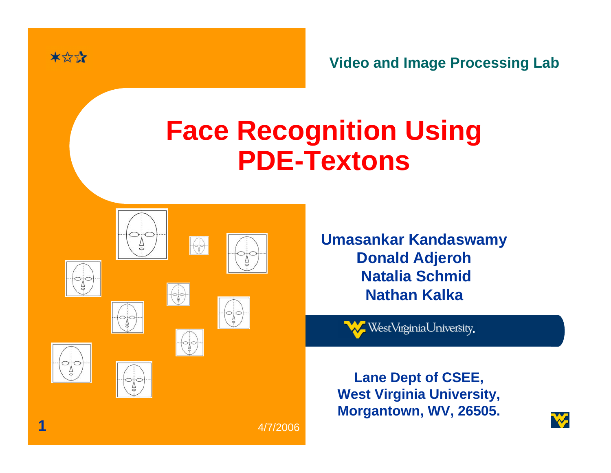

**Video and Image Processing Lab**

### **Face Recognition Using PDE-Textons**

|   | . .                                     | $\frac{1}{2}$              | 2.2.1<br>$k = n$<br>ń. |  |
|---|-----------------------------------------|----------------------------|------------------------|--|
| Ĝ | $\overline{\phantom{a}}$<br>$\triangle$ | $\frac{1}{\sqrt{2}}$       | $rac{1}{2}$            |  |
| 품 | .,<br>4                                 | $\subset$<br>$\frac{1}{2}$ |                        |  |

**Umasankar Kandaswamy Donald Adjeroh Natalia SchmidNathan Kalka**

WestVirginiaUniversity.

**Lane Dept of CSEE, West Virginia University, Morgantown, WV, 26505.**

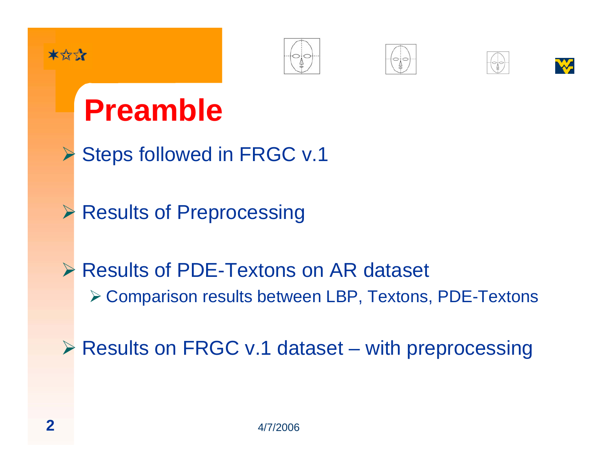









## **Preamble**

- ¾Steps followed in FRGC v.1
- ¾Results of Preprocessing
- **▶ Results of PDE-Textons on AR dataset** ¾ Comparison results between LBP, Textons, PDE-Textons
- ¾ Results on FRGC v.1 dataset with preprocessing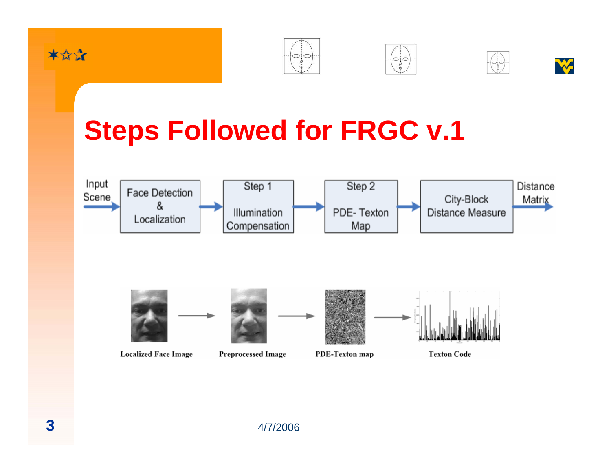









## **Steps Followed for FRGC v.1**



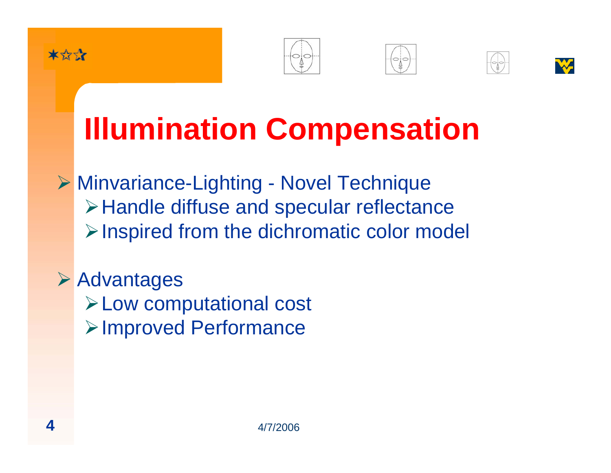







# **Illumination Compensation**

¾ Minvariance-Lighting - Novel Technique ¾Handle diffuse and specular reflectance ¾Inspired from the dichromatic color model

¾ Advantages ¾Low computational cost ¾Improved Performance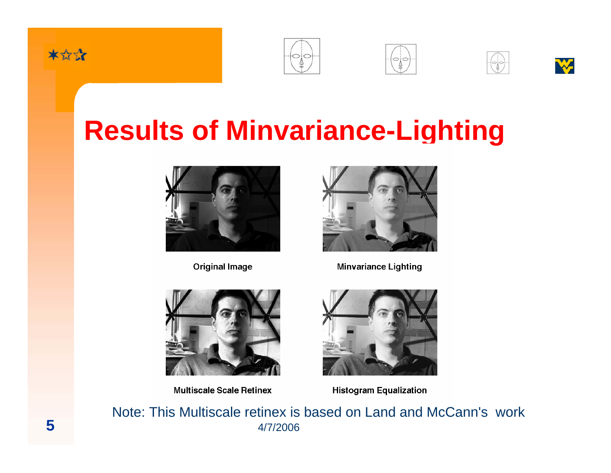









## **Results of Minvariance-Lighting**



**Original Image** 



**Minvariance Lighting** 



**Multiscale Scale Retinex** 



**Histogram Equalization** 

 4/7/2006Note: This Multiscale retinex is based on Land and McCann's work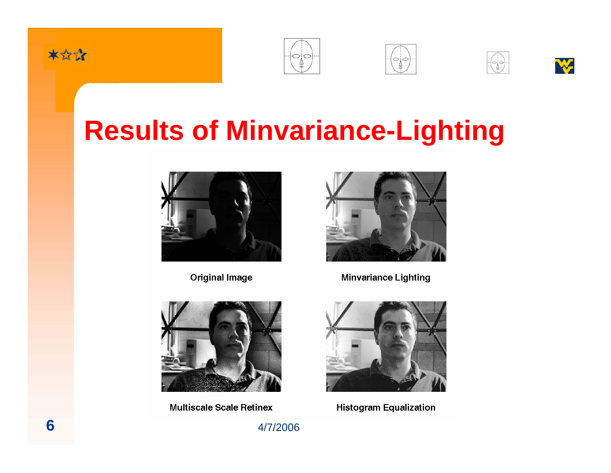









## **Results of Minvariance-Lighting**



**Original Image** 



**Minvariance Lighting** 



**Multiscale Scale Retinex** 



**Histogram Equalization** 

 $4/7/2006$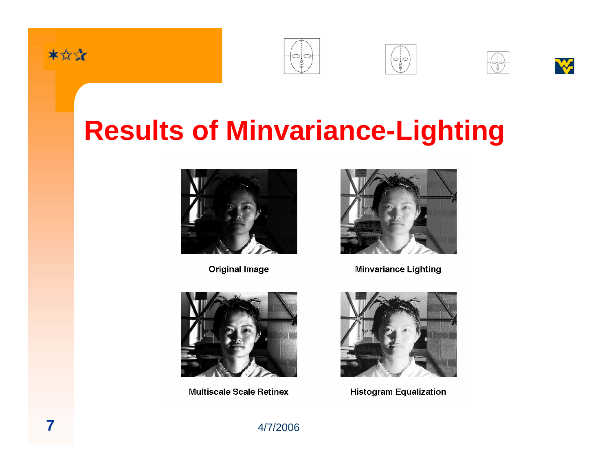









## **Results of Minvariance-Lighting**



**Original Image** 



**Minvariance Lighting** 



**Multiscale Scale Retinex** 



**Histogram Equalization** 

4/7/2006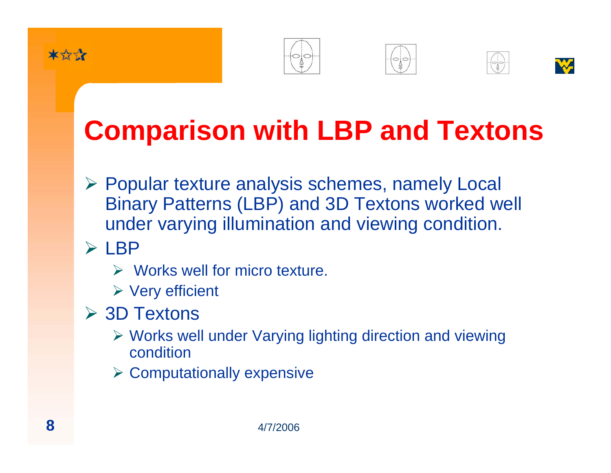







## **Comparison with LBP and Textons**

- ¾ Popular texture analysis schemes, namely Local Binary Patterns (LBP) and 3D Textons worked well under varying illumination and viewing condition.
- $\triangleright$  LBP
	- $\triangleright$  Works well for micro texture.
	- $\triangleright$  Very efficient
- **≻ 3D Textons** 
	- ¾ Works well under Varying lighting direction and viewing condition
	- $\triangleright$  Computationally expensive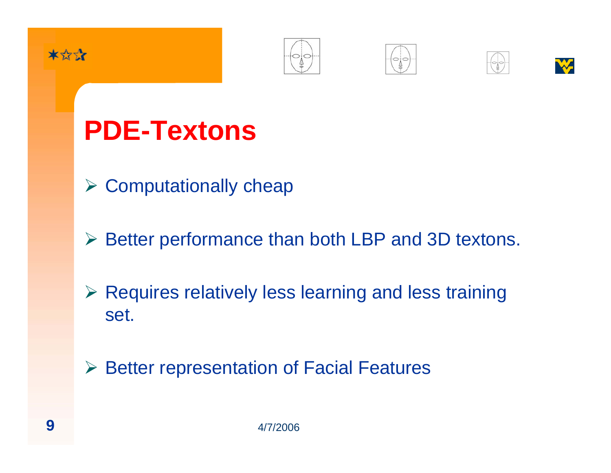









## **PDE-Textons**

- $\triangleright$  Computationally cheap
- ¾ Better performance than both LBP and 3D textons.
- ¾ Requires relatively less learning and less training set.

¾ Better representation of Facial Features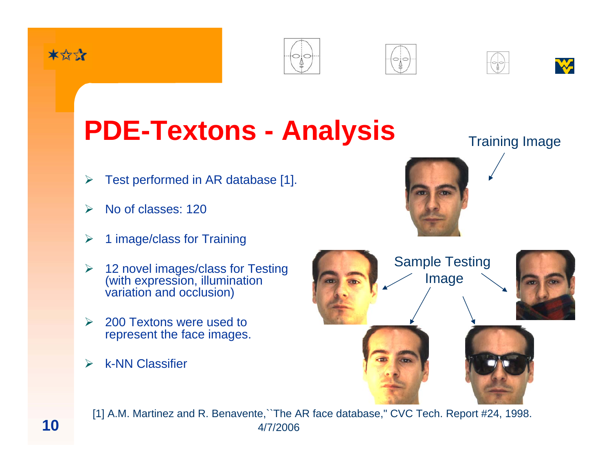









## **PDE-Textons - Analysis** Training Image

- ¾Test performed in AR database [1].
- ¾No of classes: 120
- ¾1 image/class for Training
- ¾ $\geq$  12 novel images/class for Testing (with expression, illumination variation and occlusion)
- $\blacktriangleright$  200 Textons were used to represent the face images.
- $\blacktriangleright$ k-NN Classifier





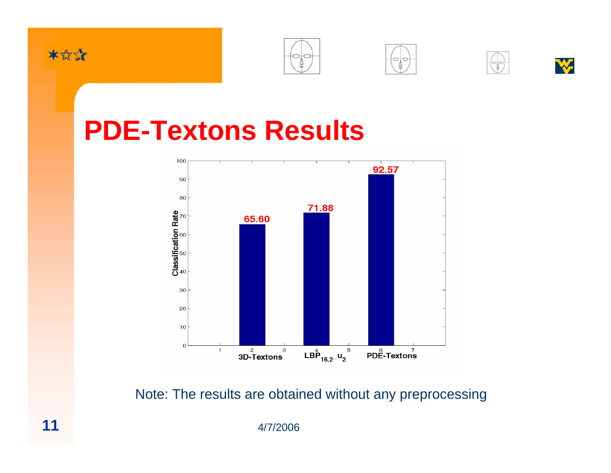









#### **PDE-Textons Results**



Note: The results are obtained without any preprocessing

4/7/2006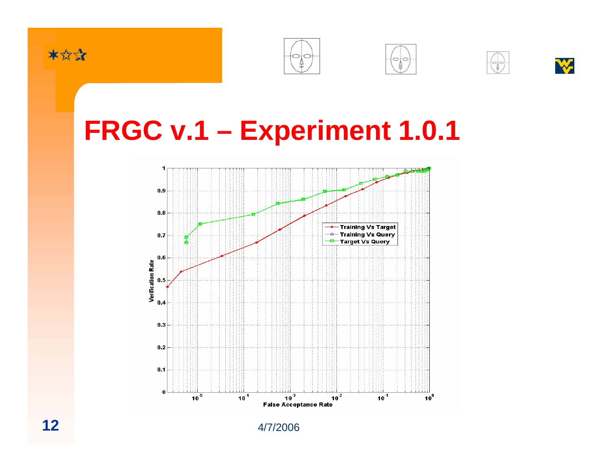









## **FRGC v.1 – Experiment 1.0.1**

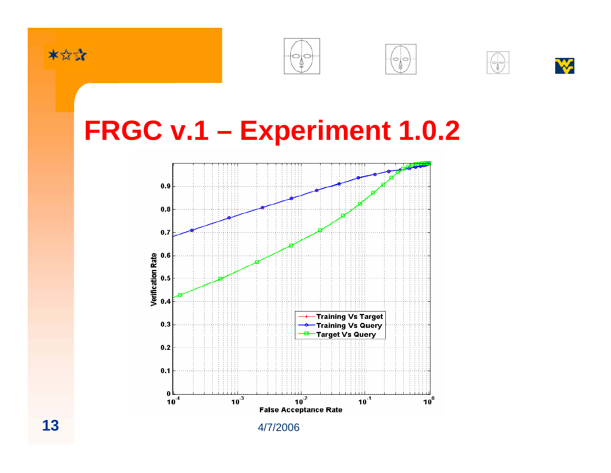









## **FRGC v.1 – Experiment 1.0.2**



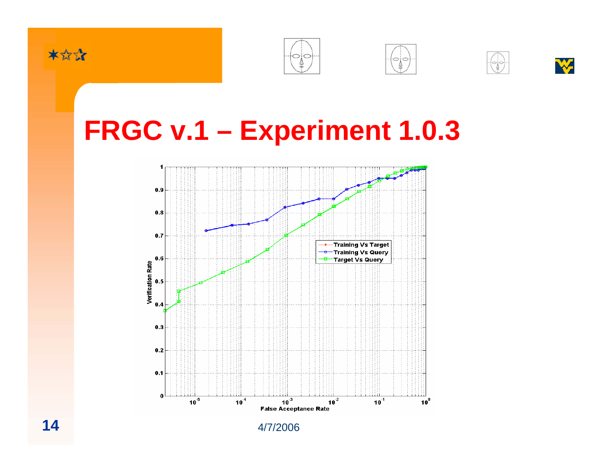









## **FRGC v.1 – Experiment 1.0.3**



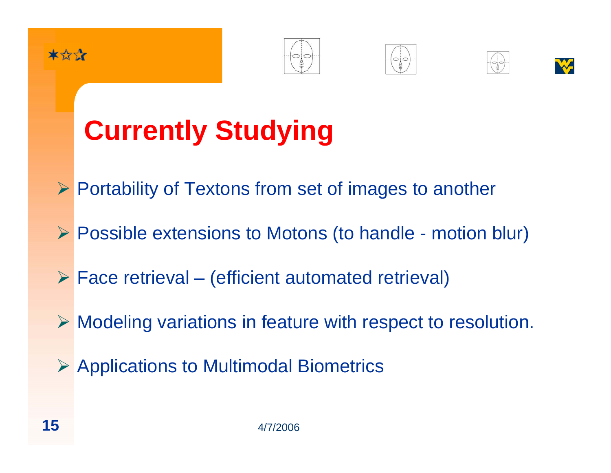









# **Currently Studying**

- ¾ Portability of Textons from set of images to another
- ¾ Possible extensions to Motons (to handle motion blur)
- $\triangleright$  Face retrieval (efficient automated retrieval)
- ¾ Modeling variations in feature with respect to resolution.
- ¾ Applications to Multimodal Biometrics